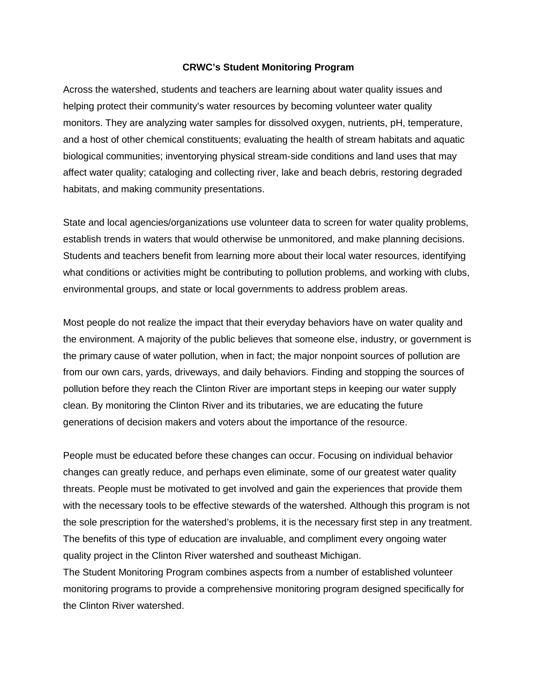## **CRWC's Student Monitoring Program**

Across the watershed, students and teachers are learning about water quality issues and helping protect their community's water resources by becoming volunteer water quality monitors. They are analyzing water samples for dissolved oxygen, nutrients, pH, temperature, and a host of other chemical constituents; evaluating the health of stream habitats and aquatic biological communities; inventorying physical stream-side conditions and land uses that may affect water quality; cataloging and collecting river, lake and beach debris, restoring degraded habitats, and making community presentations.

State and local agencies/organizations use volunteer data to screen for water quality problems, establish trends in waters that would otherwise be unmonitored, and make planning decisions. Students and teachers benefit from learning more about their local water resources, identifying what conditions or activities might be contributing to pollution problems, and working with clubs, environmental groups, and state or local governments to address problem areas.

Most people do not realize the impact that their everyday behaviors have on water quality and the environment. A majority of the public believes that someone else, industry, or government is the primary cause of water pollution, when in fact; the major nonpoint sources of pollution are from our own cars, yards, driveways, and daily behaviors. Finding and stopping the sources of pollution before they reach the Clinton River are important steps in keeping our water supply clean. By monitoring the Clinton River and its tributaries, we are educating the future generations of decision makers and voters about the importance of the resource.

People must be educated before these changes can occur. Focusing on individual behavior changes can greatly reduce, and perhaps even eliminate, some of our greatest water quality threats. People must be motivated to get involved and gain the experiences that provide them with the necessary tools to be effective stewards of the watershed. Although this program is not the sole prescription for the watershed's problems, it is the necessary first step in any treatment. The benefits of this type of education are invaluable, and compliment every ongoing water quality project in the Clinton River watershed and southeast Michigan.

The Student Monitoring Program combines aspects from a number of established volunteer monitoring programs to provide a comprehensive monitoring program designed specifically for the Clinton River watershed.